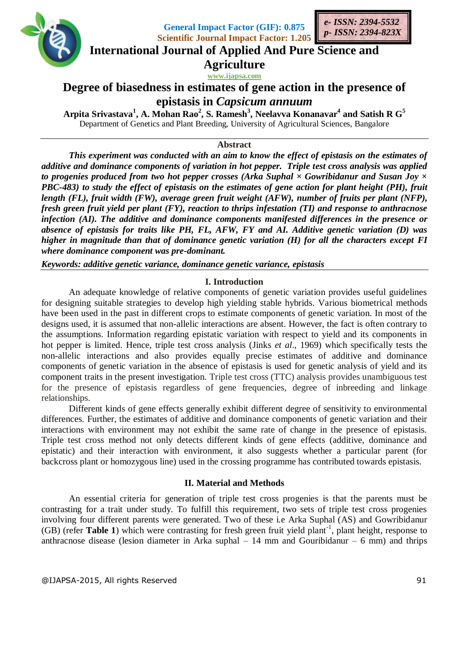

**General Impact Factor (GIF): 0.875 Scientific Journal Impact Factor: 1.205**



**International Journal of Applied And Pure Science and**

**Agriculture**

**www.ijapsa.com**

# **Degree of biasedness in estimates of gene action in the presence of epistasis in** *Capsicum annuum*

**Arpita Srivastava<sup>1</sup> , A. Mohan Rao<sup>2</sup> , S. Ramesh<sup>3</sup> , Neelavva Konanavar 4 and Satish R G<sup>5</sup>** Department of Genetics and Plant Breeding, University of Agricultural Sciences, Bangalore

### **Abstract**

*This experiment was conducted with an aim to know the effect of epistasis on the estimates of additive and dominance components of variation in hot pepper. Triple test cross analysis was applied to progenies produced from two hot pepper crosses (Arka Suphal × Gowribidanur and Susan Joy × PBC-483) to study the effect of epistasis on the estimates of gene action for plant height (PH), fruit length (FL), fruit width (FW), average green fruit weight (AFW), number of fruits per plant (NFP), fresh green fruit yield per plant (FY), reaction to thrips infestation (TI) and response to anthracnose infection (AI). The additive and dominance components manifested differences in the presence or absence of epistasis for traits like PH, FL, AFW, FY and AI. Additive genetic variation (D) was higher in magnitude than that of dominance genetic variation (H) for all the characters except FI where dominance component was pre-dominant.* 

*Keywords: additive genetic variance, dominance genetic variance, epistasis*

### **I. Introduction**

An adequate knowledge of relative components of genetic variation provides useful guidelines for designing suitable strategies to develop high yielding stable hybrids. Various biometrical methods have been used in the past in different crops to estimate components of genetic variation. In most of the designs used, it is assumed that non-allelic interactions are absent. However, the fact is often contrary to the assumptions. Information regarding epistatic variation with respect to yield and its components in hot pepper is limited. Hence, triple test cross analysis (Jinks *et al*., 1969) which specifically tests the non-allelic interactions and also provides equally precise estimates of additive and dominance components of genetic variation in the absence of epistasis is used for genetic analysis of yield and its component traits in the present investigation. Triple test cross (TTC) analysis provides unambiguous test for the presence of epistasis regardless of gene frequencies, degree of inbreeding and linkage relationships.

Different kinds of gene effects generally exhibit different degree of sensitivity to environmental differences. Further, the estimates of additive and dominance components of genetic variation and their interactions with environment may not exhibit the same rate of change in the presence of epistasis. Triple test cross method not only detects different kinds of gene effects (additive, dominance and epistatic) and their interaction with environment, it also suggests whether a particular parent (for backcross plant or homozygous line) used in the crossing programme has contributed towards epistasis.

### **II. Material and Methods**

An essential criteria for generation of triple test cross progenies is that the parents must be contrasting for a trait under study. To fulfill this requirement, two sets of triple test cross progenies involving four different parents were generated. Two of these i.e Arka Suphal (AS) and Gowribidanur (GB) (refer Table 1) which were contrasting for fresh green fruit yield plant<sup>-1</sup>, plant height, response to anthracnose disease (lesion diameter in Arka suphal  $-14$  mm and Gouribidanur  $-6$  mm) and thrips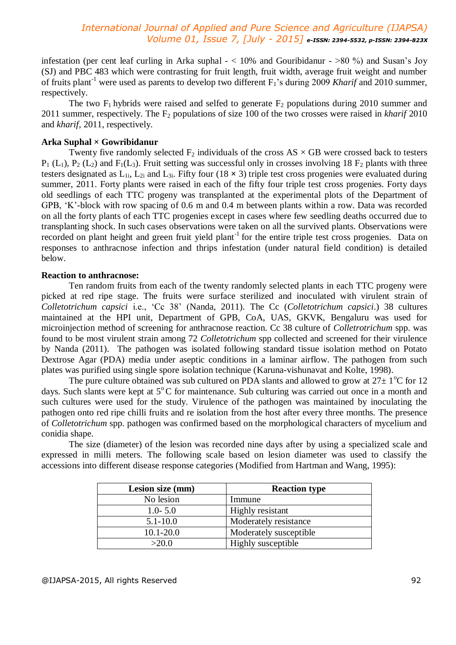infestation (per cent leaf curling in Arka suphal  $- < 10\%$  and Gouribidanur  $- >80\%$ ) and Susan's Joy (SJ) and PBC 483 which were contrasting for fruit length, fruit width, average fruit weight and number of fruits plant-1 were used as parents to develop two different F1's during 2009 *Kharif* and 2010 summer, respectively.

The two  $F_1$  hybrids were raised and selfed to generate  $F_2$  populations during 2010 summer and 2011 summer, respectively. The F<sup>2</sup> populations of size 100 of the two crosses were raised in *kharif* 2010 and *kharif*, 2011, respectively.

### **Arka Suphal × Gowribidanur**

Twenty five randomly selected  $F_2$  individuals of the cross AS  $\times$  GB were crossed back to testers  $P_1$  (L<sub>1</sub>),  $P_2$  (L<sub>2</sub>) and  $F_1$ (L<sub>3</sub>). Fruit setting was successful only in crosses involving 18  $F_2$  plants with three testers designated as  $L_{1i}$ ,  $L_{2i}$  and  $L_{3i}$ . Fifty four (18  $\times$  3) triple test cross progenies were evaluated during summer, 2011. Forty plants were raised in each of the fifty four triple test cross progenies. Forty days old seedlings of each TTC progeny was transplanted at the experimental plots of the Department of GPB, 'K'-block with row spacing of 0.6 m and 0.4 m between plants within a row. Data was recorded on all the forty plants of each TTC progenies except in cases where few seedling deaths occurred due to transplanting shock. In such cases observations were taken on all the survived plants. Observations were recorded on plant height and green fruit yield plant<sup>-1</sup> for the entire triple test cross progenies. Data on responses to anthracnose infection and thrips infestation (under natural field condition) is detailed below.

### **Reaction to anthracnose:**

Ten random fruits from each of the twenty randomly selected plants in each TTC progeny were picked at red ripe stage. The fruits were surface sterilized and inoculated with virulent strain of *Colletotrichum capsici* i.e., 'Cc 38' (Nanda, 2011). The Cc (*Colletotrichum capsici*.) 38 cultures maintained at the HPI unit, Department of GPB, CoA, UAS, GKVK, Bengaluru was used for microinjection method of screening for anthracnose reaction. Cc 38 culture of *Colletrotrichum* spp. was found to be most virulent strain among 72 *Colletotrichum* spp collected and screened for their virulence by Nanda (2011). The pathogen was isolated following standard tissue isolation method on Potato Dextrose Agar (PDA) media under aseptic conditions in a laminar airflow. The pathogen from such plates was purified using single spore isolation technique (Karuna-vishunavat and Kolte, 1998).

The pure culture obtained was sub cultured on PDA slants and allowed to grow at  $27 \pm 1\degree$ C for 12 days. Such slants were kept at  $5^{\circ}$ C for maintenance. Sub culturing was carried out once in a month and such cultures were used for the study. Virulence of the pathogen was maintained by inoculating the pathogen onto red ripe chilli fruits and re isolation from the host after every three months. The presence of *Colletotrichum* spp. pathogen was confirmed based on the morphological characters of mycelium and conidia shape.

The size (diameter) of the lesion was recorded nine days after by using a specialized scale and expressed in milli meters. The following scale based on lesion diameter was used to classify the accessions into different disease response categories (Modified from Hartman and Wang, 1995):

| Lesion size (mm) | <b>Reaction type</b>   |
|------------------|------------------------|
| No lesion        | Immune                 |
| $1.0 - 5.0$      | Highly resistant       |
| $5.1 - 10.0$     | Moderately resistance  |
| $10.1 - 20.0$    | Moderately susceptible |
| >20.0            | Highly susceptible     |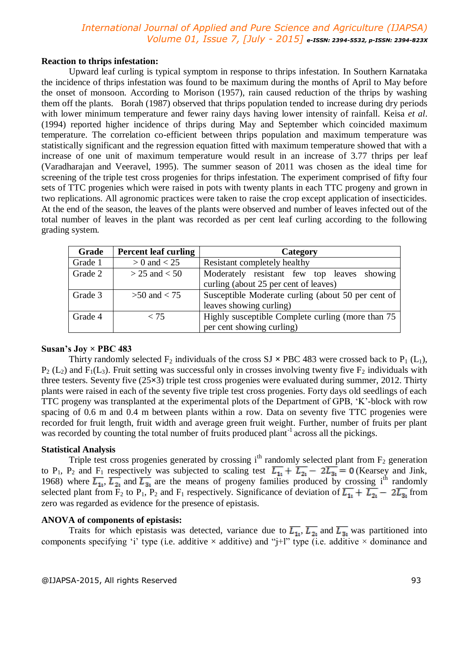### **Reaction to thrips infestation:**

Upward leaf curling is typical symptom in response to thrips infestation. In Southern Karnataka the incidence of thrips infestation was found to be maximum during the months of April to May before the onset of monsoon. According to Morison (1957), rain caused reduction of the thrips by washing them off the plants. Borah (1987) observed that thrips population tended to increase during dry periods with lower minimum temperature and fewer rainy days having lower intensity of rainfall. Keisa *et al*. (1994) reported higher incidence of thrips during May and September which coincided maximum temperature. The correlation co-efficient between thrips population and maximum temperature was statistically significant and the regression equation fitted with maximum temperature showed that with a increase of one unit of maximum temperature would result in an increase of 3.77 thrips per leaf (Varadharajan and Veeravel, 1995). The summer season of 2011 was chosen as the ideal time for screening of the triple test cross progenies for thrips infestation. The experiment comprised of fifty four sets of TTC progenies which were raised in pots with twenty plants in each TTC progeny and grown in two replications. All agronomic practices were taken to raise the crop except application of insecticides. At the end of the season, the leaves of the plants were observed and number of leaves infected out of the total number of leaves in the plant was recorded as per cent leaf curling according to the following grading system.

| Grade   | <b>Percent leaf curling</b> | Category                                           |  |  |  |  |  |
|---------|-----------------------------|----------------------------------------------------|--|--|--|--|--|
| Grade 1 | $> 0$ and $< 25$            | Resistant completely healthy                       |  |  |  |  |  |
| Grade 2 | $> 25$ and $< 50$           | Moderately resistant few top leaves showing        |  |  |  |  |  |
|         |                             | curling (about 25 per cent of leaves)              |  |  |  |  |  |
| Grade 3 | $>50$ and $< 75$            | Susceptible Moderate curling (about 50 per cent of |  |  |  |  |  |
|         |                             | leaves showing curling)                            |  |  |  |  |  |
| Grade 4 | < 75                        | Highly susceptible Complete curling (more than 75) |  |  |  |  |  |
|         |                             | per cent showing curling)                          |  |  |  |  |  |

### **Susan's Joy × PBC 483**

Thirty randomly selected  $F_2$  individuals of the cross SJ  $\times$  PBC 483 were crossed back to P<sub>1</sub> (L<sub>1</sub>),  $P_2$  (L<sub>2</sub>) and F<sub>1</sub>(L<sub>3</sub>). Fruit setting was successful only in crosses involving twenty five F<sub>2</sub> individuals with three testers. Seventy five (25**×**3) triple test cross progenies were evaluated during summer, 2012. Thirty plants were raised in each of the seventy five triple test cross progenies. Forty days old seedlings of each TTC progeny was transplanted at the experimental plots of the Department of GPB, 'K'-block with row spacing of 0.6 m and 0.4 m between plants within a row. Data on seventy five TTC progenies were recorded for fruit length, fruit width and average green fruit weight. Further, number of fruits per plant was recorded by counting the total number of fruits produced plant<sup>-1</sup> across all the pickings.

### **Statistical Analysis**

Triple test cross progenies generated by crossing  $i<sup>th</sup>$  randomly selected plant from  $F_2$  generation to P<sub>1</sub>, P<sub>2</sub> and F<sub>1</sub> respectively was subjected to scaling test  $\overline{L_{1t}} + \overline{L_{2t}} - 2\overline{L_{3t}} = 0$  (Kearsey and Jink, 1968) where  $\overline{L_{11}}$ ,  $\overline{L_{21}}$  and  $\overline{L_{31}}$  are the means of progeny families produced by crossing i<sup>th</sup> randomly selected plant from  $\overline{F}_2$  to P<sub>1</sub>, P<sub>2</sub> and F<sub>1</sub> respectively. Significance of deviation of  $\overline{L_{11}} + \overline{L_{21}} - 2\overline{L_{31}}$  from zero was regarded as evidence for the presence of epistasis.

### **ANOVA of components of epistasis:**

Traits for which epistasis was detected, variance due to  $\overline{L_{1t}}$ ,  $\overline{L_{2t}}$  and  $\overline{L_{3t}}$  was partitioned into components specifying 'i' type (i.e. additive  $\times$  additive) and "j+l" type (i.e. additive  $\times$  dominance and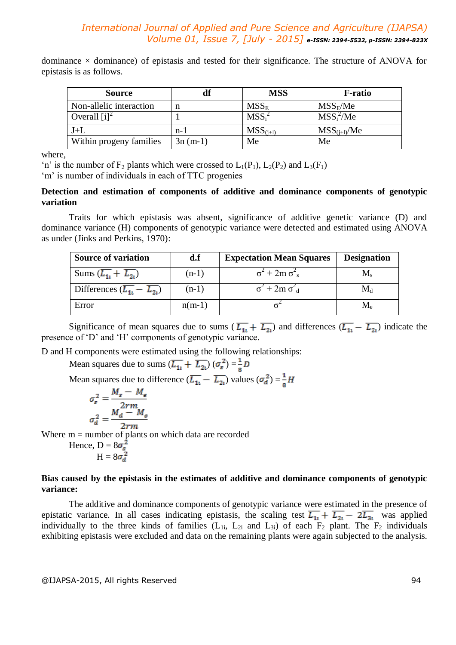dominance  $\times$  dominance) of epistasis and tested for their significance. The structure of ANOVA for epistasis is as follows.

| <b>Source</b>              | df        | <b>MSS</b>                    | <b>F</b> -ratio  |
|----------------------------|-----------|-------------------------------|------------------|
| Non-allelic interaction    | n         | $MSS_E$                       | $MSS_F/Me$       |
| Overall $[i]$ <sup>2</sup> |           | MSS <sub>i</sub> <sup>2</sup> | $MSS_i^2/Me$     |
| $J+L$                      | $n-1$     | $MSS(i+1)$                    | $MSS_{(i+1)}/Me$ |
| Within progeny families    | $3n(m-1)$ | Me                            | Me               |

where,

'n' is the number of  $F_2$  plants which were crossed to  $L_1(P_1)$ ,  $L_2(P_2)$  and  $L_3(F_1)$ 

'm' is number of individuals in each of TTC progenies

### **Detection and estimation of components of additive and dominance components of genotypic variation**

Traits for which epistasis was absent, significance of additive genetic variance (D) and dominance variance (H) components of genotypic variance were detected and estimated using ANOVA as under (Jinks and Perkins, 1970):

| <b>Source of variation</b>                            | d.f      | <b>Expectation Mean Squares</b>         | <b>Designation</b>                 |
|-------------------------------------------------------|----------|-----------------------------------------|------------------------------------|
| Sums $(\overline{L_{1i}} + \overline{L_{2i}})$        | $(n-1)$  | $\sigma^2$ + 2m $\sigma_s^2$            | $M_{\rm s}$                        |
| Differences $(\overline{L_{11}} - \overline{L_{21}})$ | $(n-1)$  | $\sigma^2$ + 2m $\sigma^2$ <sub>d</sub> | $\rm M_d$                          |
| Error                                                 | $n(m-1)$ |                                         | $\rm M_{\rm \scriptscriptstyle P}$ |

Significance of mean squares due to sums  $(\overline{L_{1i}} + \overline{L_{2i}})$  and differences  $(\overline{L_{1i}} - \overline{L_{2i}})$  indicate the presence of 'D' and 'H' components of genotypic variance.

D and H components were estimated using the following relationships:

Mean squares due to sums  $(\overline{L_{1i}} + \overline{L_{2i}}) (\sigma_s^2) = \frac{1}{8}D$ 

Mean squares due to difference  $(\overline{L_{1i}} - \overline{L_{2i}})$  values  $(\sigma_d^2) = \frac{1}{8}H$ 

$$
\sigma_s^2 = \frac{M_s - M_e}{2rm} \sigma_d^2 = \frac{M_d - M_e}{2rm}
$$

Where  $m =$  number of plants on which data are recorded

Hence, 
$$
D = 8\sigma_s^2
$$
  
H =  $8\sigma_d^2$ 

# **Bias caused by the epistasis in the estimates of additive and dominance components of genotypic variance:**

The additive and dominance components of genotypic variance were estimated in the presence of epistatic variance. In all cases indicating epistasis, the scaling test  $\overline{L_{11}} + \overline{L_{21}} - 2\overline{L_{31}}$  was applied individually to the three kinds of families  $(L_{1i}, L_{2i})$  and  $L_{3i}$  of each  $F_2$  plant. The  $F_2$  individuals exhibiting epistasis were excluded and data on the remaining plants were again subjected to the analysis.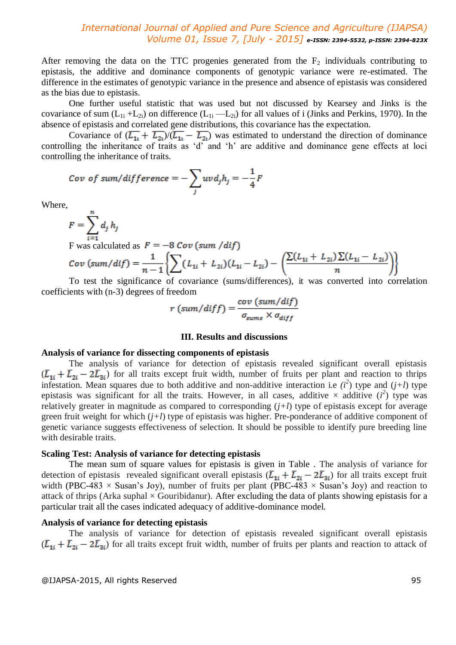After removing the data on the TTC progenies generated from the  $F_2$  individuals contributing to epistasis, the additive and dominance components of genotypic variance were re-estimated. The difference in the estimates of genotypic variance in the presence and absence of epistasis was considered as the bias due to epistasis.

One further useful statistic that was used but not discussed by Kearsey and Jinks is the covariance of sum  $(L_{1i} + L_{2i})$  on difference  $(L_{1i} - L_{2i})$  for all values of i (Jinks and Perkins, 1970). In the absence of epistasis and correlated gene distributions, this covariance has the expectation.

Covariance of  $(\overline{L_{1i}} + \overline{L_{2i}})/(\overline{L_{1i}} - \overline{L_{2i}})$  was estimated to understand the direction of dominance controlling the inheritance of traits as 'd' and 'h' are additive and dominance gene effects at loci controlling the inheritance of traits.

$$
Cov\ of\ sum/difference = -\sum_{j} uv d_j h_j = -\frac{1}{4}F
$$

Where,

$$
F=\sum_{i=1}^n d_j h_j
$$

F was calculated as  $F = -8 Cov (sum / dif)$ 

$$
Cov \left( sum/dif \right) = \frac{1}{n-1} \left\{ \sum (L_{1i} + L_{2i})(L_{1i} - L_{2i}) - \left( \frac{\sum (L_{1i} + L_{2i}) \sum (L_{1i} - L_{2i})}{n} \right) \right\}
$$

To test the significance of covariance (sums/differences), it was converted into correlation coefficients with (n-3) degrees of freedom للأرداء

$$
r\left(\frac{sum/diff}{\sigma_{sums} \times \sigma_{diff}}\right)
$$

#### **III. Results and discussions**

#### **Analysis of variance for dissecting components of epistasis**

The analysis of variance for detection of epistasis revealed significant overall epistasis  $(\bar{L}_{1i} + \bar{L}_{2i} - 2\bar{L}_{3i})$  for all traits except fruit width, number of fruits per plant and reaction to thrips infestation. Mean squares due to both additive and non-additive interaction i.e  $(i^2)$  type and  $(j+l)$  type epistasis was significant for all the traits. However, in all cases, additive  $\times$  additive  $(i^2)$  type was relatively greater in magnitude as compared to corresponding (*j+l*) type of epistasis except for average green fruit weight for which (*j+l*) type of epistasis was higher. Pre-ponderance of additive component of genetic variance suggests effectiveness of selection. It should be possible to identify pure breeding line with desirable traits.

### **Scaling Test: Analysis of variance for detecting epistasis**

The mean sum of square values for epistasis is given in Table . The analysis of variance for detection of epistasis revealed significant overall epistasis  $(\overline{L}_{1i} + \overline{L}_{2i} - 2\overline{L}_{3i})$  for all traits except fruit width (PBC-483  $\times$  Susan's Joy), number of fruits per plant (PBC-483  $\times$  Susan's Joy) and reaction to attack of thrips (Arka suphal  $\times$  Gouribidanur). After excluding the data of plants showing epistasis for a particular trait all the cases indicated adequacy of additive-dominance model.

#### **Analysis of variance for detecting epistasis**

The analysis of variance for detection of epistasis revealed significant overall epistasis  $(\bar{L}_{1i} + \bar{L}_{2i} - 2\bar{L}_{3i})$  for all traits except fruit width, number of fruits per plants and reaction to attack of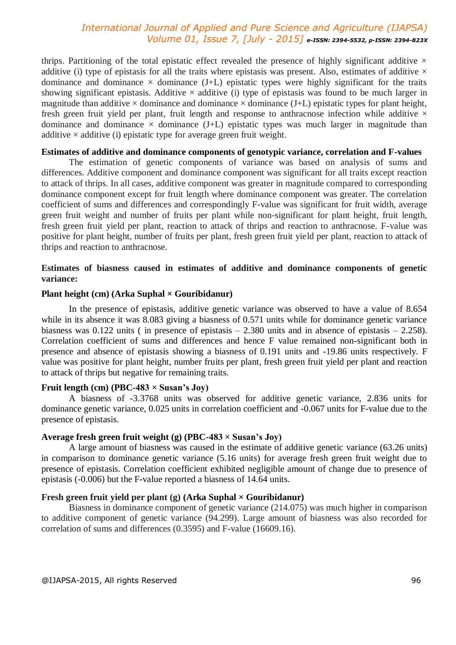thrips. Partitioning of the total epistatic effect revealed the presence of highly significant additive  $\times$ additive (i) type of epistasis for all the traits where epistasis was present. Also, estimates of additive  $\times$ dominance and dominance  $\times$  dominance (J+L) epistatic types were highly significant for the traits showing significant epistasis. Additive  $\times$  additive (i) type of epistasis was found to be much larger in magnitude than additive  $\times$  dominance and dominance  $\times$  dominance (J+L) epistatic types for plant height, fresh green fruit yield per plant, fruit length and response to anthracnose infection while additive  $\times$ dominance and dominance  $\times$  dominance (J+L) epistatic types was much larger in magnitude than additive  $\times$  additive (i) epistatic type for average green fruit weight.

#### **Estimates of additive and dominance components of genotypic variance, correlation and F-values**

The estimation of genetic components of variance was based on analysis of sums and differences. Additive component and dominance component was significant for all traits except reaction to attack of thrips. In all cases, additive component was greater in magnitude compared to corresponding dominance component except for fruit length where dominance component was greater. The correlation coefficient of sums and differences and correspondingly F-value was significant for fruit width, average green fruit weight and number of fruits per plant while non-significant for plant height, fruit length, fresh green fruit yield per plant, reaction to attack of thrips and reaction to anthracnose. F-value was positive for plant height, number of fruits per plant, fresh green fruit yield per plant, reaction to attack of thrips and reaction to anthracnose.

# **Estimates of biasness caused in estimates of additive and dominance components of genetic variance:**

### **Plant height (cm) (Arka Suphal × Gouribidanur)**

In the presence of epistasis, additive genetic variance was observed to have a value of 8.654 while in its absence it was 8.083 giving a biasness of 0.571 units while for dominance genetic variance biasness was 0.122 units ( in presence of epistasis – 2.380 units and in absence of epistasis – 2.258). Correlation coefficient of sums and differences and hence F value remained non-significant both in presence and absence of epistasis showing a biasness of 0.191 units and -19.86 units respectively. F value was positive for plant height, number fruits per plant, fresh green fruit yield per plant and reaction to attack of thrips but negative for remaining traits.

### **Fruit length (cm) (PBC-483 × Susan's Joy)**

A biasness of -3.3768 units was observed for additive genetic variance, 2.836 units for dominance genetic variance, 0.025 units in correlation coefficient and -0.067 units for F-value due to the presence of epistasis.

#### **Average fresh green fruit weight (g) (PBC-483 × Susan's Joy)**

A large amount of biasness was caused in the estimate of additive genetic variance (63.26 units) in comparison to dominance genetic variance (5.16 units) for average fresh green fruit weight due to presence of epistasis. Correlation coefficient exhibited negligible amount of change due to presence of epistasis (-0.006) but the F-value reported a biasness of 14.64 units.

### **Fresh green fruit yield per plant (g) (Arka Suphal × Gouribidanur)**

Biasness in dominance component of genetic variance (214.075) was much higher in comparison to additive component of genetic variance (94.299). Large amount of biasness was also recorded for correlation of sums and differences (0.3595) and F-value (16609.16).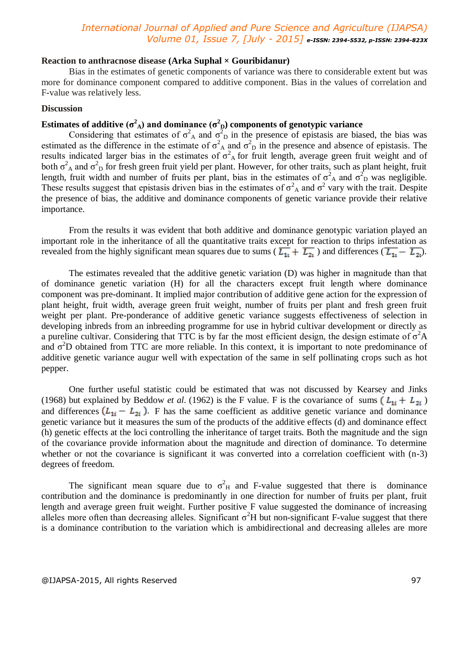#### **Reaction to anthracnose disease (Arka Suphal × Gouribidanur)**

Bias in the estimates of genetic components of variance was there to considerable extent but was more for dominance component compared to additive component. Bias in the values of correlation and F-value was relatively less.

### **Discussion**

# **Estimates of additive (σ<sup>2</sup><sub>A</sub>) and dominance (σ<sup>2</sup><sub>D</sub>) components of genotypic variance**

Considering that estimates of  $\sigma_A^2$  and  $\sigma_D^2$  in the presence of epistasis are biased, the bias was estimated as the difference in the estimate of  $\sigma_A^2$  and  $\sigma_D^2$  in the presence and absence of epistasis. The results indicated larger bias in the estimates of  $\sigma_A^2$  for fruit length, average green fruit weight and of both  $\sigma_A^2$  and  $\sigma_D^2$  for fresh green fruit yield per plant. However, for other traits, such as plant height, fruit length, fruit width and number of fruits per plant, bias in the estimates of  $\sigma_A^2$  and  $\sigma_D^2$  was negligible. These results suggest that epistasis driven bias in the estimates of  $\sigma^2$  and  $\sigma^2$  vary with the trait. Despite the presence of bias, the additive and dominance components of genetic variance provide their relative importance.

From the results it was evident that both additive and dominance genotypic variation played an important role in the inheritance of all the quantitative traits except for reaction to thrips infestation as revealed from the highly significant mean squares due to sums ( $\overline{L_{11}} + \overline{L_{21}}$ ) and differences ( $\overline{L_{11}} - \overline{L_{21}}$ ).

The estimates revealed that the additive genetic variation (D) was higher in magnitude than that of dominance genetic variation (H) for all the characters except fruit length where dominance component was pre-dominant. It implied major contribution of additive gene action for the expression of plant height, fruit width, average green fruit weight, number of fruits per plant and fresh green fruit weight per plant. Pre-ponderance of additive genetic variance suggests effectiveness of selection in developing inbreds from an inbreeding programme for use in hybrid cultivar development or directly as a pureline cultivar. Considering that TTC is by far the most efficient design, the design estimate of  $\sigma^2 A$ and  $\sigma^2$ D obtained from TTC are more reliable. In this context, it is important to note predominance of additive genetic variance augur well with expectation of the same in self pollinating crops such as hot pepper.

One further useful statistic could be estimated that was not discussed by Kearsey and Jinks (1968) but explained by Beddow *et al.* (1962) is the F value. F is the covariance of sums  $(L_{1i} + L_{2i})$ and differences  $(L_{1i} - L_{2i})$ . F has the same coefficient as additive genetic variance and dominance genetic variance but it measures the sum of the products of the additive effects (d) and dominance effect (h) genetic effects at the loci controlling the inheritance of target traits. Both the magnitude and the sign of the covariance provide information about the magnitude and direction of dominance. To determine whether or not the covariance is significant it was converted into a correlation coefficient with (n-3) degrees of freedom.

The significant mean square due to  $\sigma_H^2$  and F-value suggested that there is dominance contribution and the dominance is predominantly in one direction for number of fruits per plant, fruit length and average green fruit weight. Further positive F value suggested the dominance of increasing alleles more often than decreasing alleles. Significant  $\sigma^2$ H but non-significant F-value suggest that there is a dominance contribution to the variation which is ambidirectional and decreasing alleles are more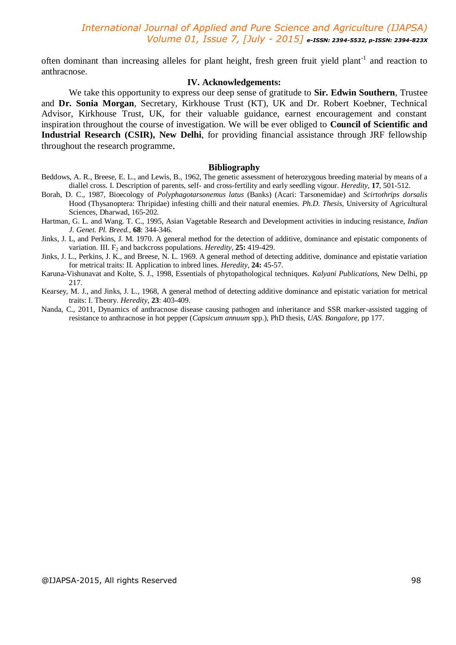often dominant than increasing alleles for plant height, fresh green fruit yield plant<sup>-1</sup> and reaction to anthracnose.

### **IV. Acknowledgements:**

We take this opportunity to express our deep sense of gratitude to **Sir. Edwin Southern**, Trustee and **Dr. Sonia Morgan**, Secretary, Kirkhouse Trust (KT), UK and Dr. Robert Koebner, Technical Advisor, Kirkhouse Trust, UK, for their valuable guidance, earnest encouragement and constant inspiration throughout the course of investigation. We will be ever obliged to **Council of Scientific and Industrial Research (CSIR), New Delhi**, for providing financial assistance through JRF fellowship throughout the research programme*.* 

#### **Bibliography**

- Beddows, A. R., Breese, E. L., and Lewis, B., 1962, The genetic assessment of heterozygous breeding material by means of a diallel cross. I. Description of parents, self- and cross-fertility and early seedling vigour. *Heredity*, **17**, 501-512.
- Borah, D. C., 1987, Bioecology of *Polyphagotarsonemus latus* (Banks) (Acari: Tarsonemidae) and *Scirtothrips dorsalis*  Hood (Thysanoptera: Thripidae) infesting chilli and their natural enemies. *Ph.D. Thesis,* University of Agricultural Sciences, Dharwad, 165-202.
- Hartman, G. L. and Wang. T. C., 1995, Asian Vagetable Research and Development activities in inducing resistance, *Indian J. Genet. Pl. Breed.,* **68**: 344-346.
- Jinks, J. L, and Perkins, J. M. 1970. A general method for the detection of additive, dominance and epistatic components of variation. III. F<sub>2</sub> and backcross populations. *Heredity*, **25:** 419-429.
- Jinks, J. L., Perkins, J. K., and Breese, N. L. 1969. A general method of detecting additive, dominance and epistatie variation for metrical traits: II. Application to inbred lines. *Heredity*, **24:** 45-57.
- Karuna-Vishunavat and Kolte, S. J., 1998, Essentials of phytopathological techniques. *Kalyani Publications*, New Delhi, pp 217.
- Kearsey, M. J., and Jinks, J. L., 1968, A general method of detecting additive dominance and epistatic variation for metrical traits: I. Theory. *Heredity*, **23**: 403-409.
- Nanda, C., 2011, Dynamics of anthracnose disease causing pathogen and inheritance and SSR marker-assisted tagging of resistance to anthracnose in hot pepper (*Capsicum annuum* spp.), PhD thesis, *UAS. Bangalore*, pp 177.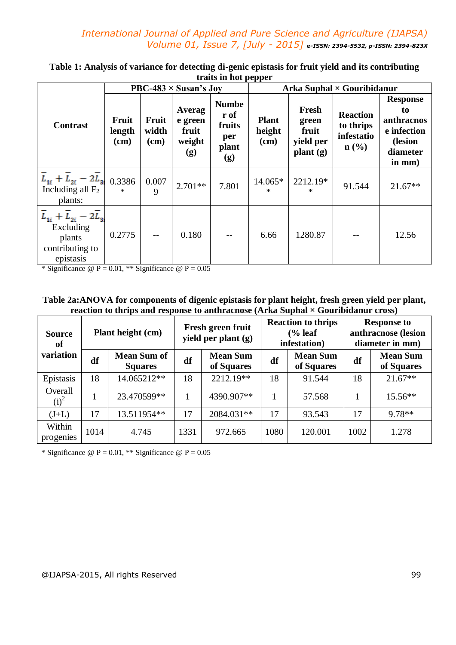|                                                                                    | PBC-483 $\times$ Susan's Joy |                        |                                             |                                                       | . .<br>Arka Suphal $\times$ Gouribidanur |                                                  |                                                                |                                                                                        |
|------------------------------------------------------------------------------------|------------------------------|------------------------|---------------------------------------------|-------------------------------------------------------|------------------------------------------|--------------------------------------------------|----------------------------------------------------------------|----------------------------------------------------------------------------------------|
| <b>Contrast</b>                                                                    | Fruit<br>length<br>$(cm)$    | Fruit<br>width<br>(cm) | Averag<br>e green<br>fruit<br>weight<br>(g) | <b>Numbe</b><br>r of<br>fruits<br>per<br>plant<br>(g) | <b>Plant</b><br>height<br>(cm)           | Fresh<br>green<br>fruit<br>yield per<br>plant(g) | <b>Reaction</b><br>to thrips<br>infestatio<br>$\mathbf{n}(\%)$ | <b>Response</b><br>to<br>anthracnos<br>e infection<br>(lesion<br>diameter<br>$in mm$ ) |
| $L_{1i} + L_{2i} - 2L_{3i}$<br>Including all $F_2$<br>plants:                      | 0.3386<br>$\ast$             | 0.007<br>9             | $2.701**$                                   | 7.801                                                 | 14.065*<br>∗                             | 2212.19*<br>*                                    | 91.544                                                         | $21.67**$                                                                              |
| $L_{1i} + L_{2i} - 2L_{3i}$<br>Excluding<br>plants<br>contributing to<br>epistasis | 0.2775                       | $-$                    | 0.180                                       | $- -$                                                 | 6.66                                     | 1280.87                                          | --                                                             | 12.56                                                                                  |

**Table 1: Analysis of variance for detecting di-genic epistasis for fruit yield and its contributing traits in hot pepper**

\* Significance  $\omega$  P = 0.01, \*\* Significance  $\omega$  P = 0.05

# **Table 2a:ANOVA for components of digenic epistasis for plant height, fresh green yield per plant, reaction to thrips and response to anthracnose (Arka Suphal × Gouribidanur cross)**

| Plant height (cm)<br><b>Source</b><br>of |      |                                      | Fresh green fruit<br>yield per plant (g) |                                     |      | <b>Reaction to thrips</b><br>$\frac{6}{6}$ leaf<br>infestation) | <b>Response to</b><br>anthracnose (lesion<br>diameter in mm) |                               |
|------------------------------------------|------|--------------------------------------|------------------------------------------|-------------------------------------|------|-----------------------------------------------------------------|--------------------------------------------------------------|-------------------------------|
| variation                                | df   | <b>Mean Sum of</b><br><b>Squares</b> | df                                       | <b>Mean Sum</b><br>df<br>of Squares |      | <b>Mean Sum</b><br>of Squares                                   | df                                                           | <b>Mean Sum</b><br>of Squares |
| Epistasis                                | 18   | 14.065212**                          | 18                                       | 2212.19**                           | 18   | 91.544                                                          | 18                                                           | $21.67**$                     |
| Overall<br>$(i)^2$                       |      | 23.470599**                          |                                          | 4390.907**                          |      | 57.568                                                          |                                                              | $15.56**$                     |
| $(J+L)$                                  | 17   | 13.511954**                          | 17                                       | 2084.031**                          | 17   | 93.543                                                          | 17                                                           | $9.78**$                      |
| Within<br>progenies                      | 1014 | 4.745                                | 1331                                     | 972.665                             | 1080 | 120.001                                                         | 1002                                                         | 1.278                         |

\* Significance  $\omega P = 0.01$ , \*\* Significance  $\omega P = 0.05$